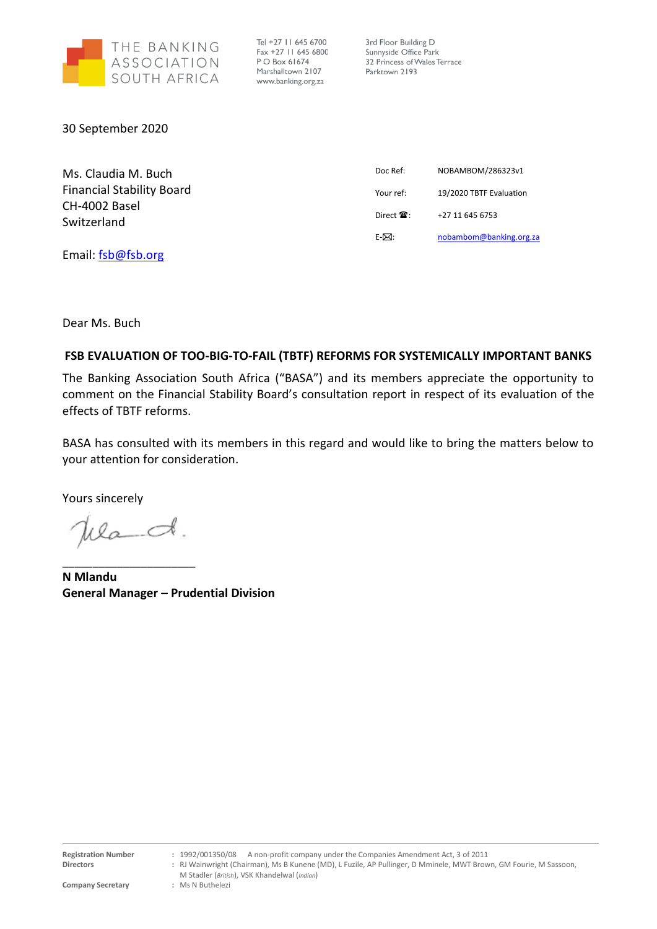

3rd Floor Building D Sunnyside Office Park 32 Princess of Wales Terrace Parktown 2193

30 September 2020

| Ms. Claudia M. Buch              | Doc Ref:                         | NOBAMBOM/286323v1       |
|----------------------------------|----------------------------------|-------------------------|
| <b>Financial Stability Board</b> | Your ref:                        | 19/2020 TBTF Evaluation |
| CH-4002 Basel<br>Switzerland     | Direct $\mathbf{\mathfrak{D}}$ : | +27 11 645 6753         |
|                                  | $E-\sqrt{M}$ :                   | nobambom@banking.org.za |
| Email: fsb@fsb.org               |                                  |                         |

Dear Ms. Buch

## **FSB EVALUATION OF TOO-BIG-TO-FAIL (TBTF) REFORMS FOR SYSTEMICALLY IMPORTANT BANKS**

The Banking Association South Africa ("BASA") and its members appreciate the opportunity to comment on the Financial Stability Board's consultation report in respect of its evaluation of the effects of TBTF reforms.

BASA has consulted with its members in this regard and would like to bring the matters below to your attention for consideration.

Yours sincerely

Wad.

\_\_\_\_\_\_\_\_\_\_\_\_\_\_\_\_\_\_\_\_\_\_

**N Mlandu General Manager – Prudential Division**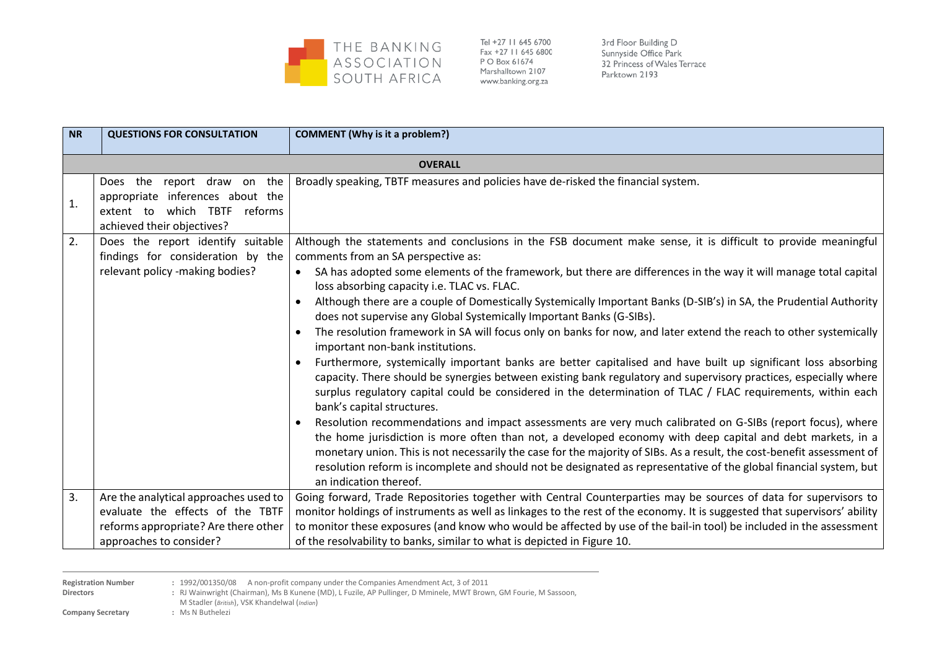

Tel +27 11 645 6700 Fax +27 11 645 6800 P O Box 61674 Marshalltown 2107 www.banking.org.za

3rd Floor Building D Sunnyside Office Park 32 Princess of Wales Terrace Parktown 2193

| <b>NR</b>                          | <b>QUESTIONS FOR CONSULTATION</b>                                                                                                                                        | <b>COMMENT</b> (Why is it a problem?)                                                                                                                                                                                                                                                                                                                                                                                                                                                              |  |  |
|------------------------------------|--------------------------------------------------------------------------------------------------------------------------------------------------------------------------|----------------------------------------------------------------------------------------------------------------------------------------------------------------------------------------------------------------------------------------------------------------------------------------------------------------------------------------------------------------------------------------------------------------------------------------------------------------------------------------------------|--|--|
|                                    | <b>OVERALL</b>                                                                                                                                                           |                                                                                                                                                                                                                                                                                                                                                                                                                                                                                                    |  |  |
| $\mathbf{1}$ .<br>$\overline{2}$ . | Does the report draw on the<br>appropriate inferences about the<br>which TBTF<br>reforms<br>extent to<br>achieved their objectives?<br>Does the report identify suitable | Broadly speaking, TBTF measures and policies have de-risked the financial system.<br>Although the statements and conclusions in the FSB document make sense, it is difficult to provide meaningful                                                                                                                                                                                                                                                                                                 |  |  |
|                                    | findings for consideration by the<br>relevant policy -making bodies?                                                                                                     | comments from an SA perspective as:<br>SA has adopted some elements of the framework, but there are differences in the way it will manage total capital<br>$\bullet$<br>loss absorbing capacity i.e. TLAC vs. FLAC.                                                                                                                                                                                                                                                                                |  |  |
|                                    |                                                                                                                                                                          | Although there are a couple of Domestically Systemically Important Banks (D-SIB's) in SA, the Prudential Authority<br>does not supervise any Global Systemically Important Banks (G-SIBs).                                                                                                                                                                                                                                                                                                         |  |  |
|                                    |                                                                                                                                                                          | The resolution framework in SA will focus only on banks for now, and later extend the reach to other systemically<br>$\bullet$<br>important non-bank institutions.                                                                                                                                                                                                                                                                                                                                 |  |  |
|                                    |                                                                                                                                                                          | Furthermore, systemically important banks are better capitalised and have built up significant loss absorbing<br>capacity. There should be synergies between existing bank regulatory and supervisory practices, especially where<br>surplus regulatory capital could be considered in the determination of TLAC / FLAC requirements, within each<br>bank's capital structures.                                                                                                                    |  |  |
|                                    |                                                                                                                                                                          | Resolution recommendations and impact assessments are very much calibrated on G-SIBs (report focus), where<br>the home jurisdiction is more often than not, a developed economy with deep capital and debt markets, in a<br>monetary union. This is not necessarily the case for the majority of SIBs. As a result, the cost-benefit assessment of<br>resolution reform is incomplete and should not be designated as representative of the global financial system, but<br>an indication thereof. |  |  |
| 3.                                 | Are the analytical approaches used to                                                                                                                                    | Going forward, Trade Repositories together with Central Counterparties may be sources of data for supervisors to                                                                                                                                                                                                                                                                                                                                                                                   |  |  |
|                                    | evaluate the effects of the TBTF<br>reforms appropriate? Are there other<br>approaches to consider?                                                                      | monitor holdings of instruments as well as linkages to the rest of the economy. It is suggested that supervisors' ability<br>to monitor these exposures (and know who would be affected by use of the bail-in tool) be included in the assessment<br>of the resolvability to banks, similar to what is depicted in Figure 10.                                                                                                                                                                      |  |  |

- **Company Secretary** 
	-

**Registration Number :** 1992/001350/08 A non-profit company under the Companies Amendment Act, 3 of 2011 **Directors :** RJ Wainwright (Chairman), Ms B Kunene (MD), L Fuzile, AP Pullinger, D Mminele, MWT Brow

**Directors :** RJ Wainwright (Chairman), Ms B Kunene (MD), L Fuzile, AP Pullinger, D Mminele, MWT Brown, GM Fourie, M Sassoon, M Stadler (*British*), VSK Khandelwal (*Indian*)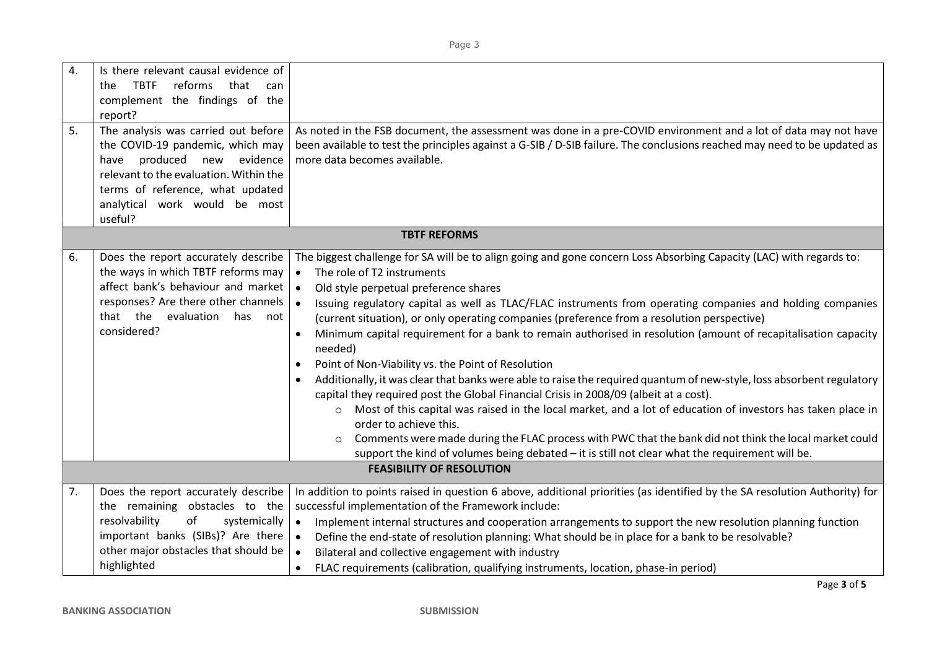| 4.<br>5.            | Is there relevant causal evidence of<br><b>TBTF</b><br>reforms<br>that can<br>the<br>complement the findings of the<br>report?<br>The analysis was carried out before<br>the COVID-19 pandemic, which may<br>produced new<br>evidence<br>have<br>relevant to the evaluation. Within the | As noted in the FSB document, the assessment was done in a pre-COVID environment and a lot of data may not have<br>been available to test the principles against a G-SIB / D-SIB failure. The conclusions reached may need to be updated as<br>more data becomes available.                                                                                                                                                                                                                                                                                                                                                                                                                                                                                                                                                                                                                                                                                                                                                                                                                                                                                                                                                                  |  |  |
|---------------------|-----------------------------------------------------------------------------------------------------------------------------------------------------------------------------------------------------------------------------------------------------------------------------------------|----------------------------------------------------------------------------------------------------------------------------------------------------------------------------------------------------------------------------------------------------------------------------------------------------------------------------------------------------------------------------------------------------------------------------------------------------------------------------------------------------------------------------------------------------------------------------------------------------------------------------------------------------------------------------------------------------------------------------------------------------------------------------------------------------------------------------------------------------------------------------------------------------------------------------------------------------------------------------------------------------------------------------------------------------------------------------------------------------------------------------------------------------------------------------------------------------------------------------------------------|--|--|
|                     | terms of reference, what updated<br>analytical work would be most<br>useful?                                                                                                                                                                                                            |                                                                                                                                                                                                                                                                                                                                                                                                                                                                                                                                                                                                                                                                                                                                                                                                                                                                                                                                                                                                                                                                                                                                                                                                                                              |  |  |
| <b>TBTF REFORMS</b> |                                                                                                                                                                                                                                                                                         |                                                                                                                                                                                                                                                                                                                                                                                                                                                                                                                                                                                                                                                                                                                                                                                                                                                                                                                                                                                                                                                                                                                                                                                                                                              |  |  |
| 6.                  | Does the report accurately describe<br>the ways in which TBTF reforms may<br>affect bank's behaviour and market<br>responses? Are there other channels  <br>that the evaluation<br>has not<br>considered?                                                                               | The biggest challenge for SA will be to align going and gone concern Loss Absorbing Capacity (LAC) with regards to:<br>The role of T2 instruments<br>Old style perpetual preference shares<br>$\bullet$<br>Issuing regulatory capital as well as TLAC/FLAC instruments from operating companies and holding companies<br>$\bullet$<br>(current situation), or only operating companies (preference from a resolution perspective)<br>Minimum capital requirement for a bank to remain authorised in resolution (amount of recapitalisation capacity<br>needed)<br>Point of Non-Viability vs. the Point of Resolution<br>$\bullet$<br>Additionally, it was clear that banks were able to raise the required quantum of new-style, loss absorbent regulatory<br>$\bullet$<br>capital they required post the Global Financial Crisis in 2008/09 (albeit at a cost).<br>Most of this capital was raised in the local market, and a lot of education of investors has taken place in<br>$\circ$<br>order to achieve this.<br>Comments were made during the FLAC process with PWC that the bank did not think the local market could<br>$\circ$<br>support the kind of volumes being debated - it is still not clear what the requirement will be. |  |  |
|                     | <b>FEASIBILITY OF RESOLUTION</b>                                                                                                                                                                                                                                                        |                                                                                                                                                                                                                                                                                                                                                                                                                                                                                                                                                                                                                                                                                                                                                                                                                                                                                                                                                                                                                                                                                                                                                                                                                                              |  |  |
| 7.                  | Does the report accurately describe<br>the remaining obstacles to the<br>resolvability<br>of<br>systemically<br>important banks (SIBs)? Are there<br>other major obstacles that should be<br>highlighted                                                                                | In addition to points raised in question 6 above, additional priorities (as identified by the SA resolution Authority) for<br>successful implementation of the Framework include:<br>Implement internal structures and cooperation arrangements to support the new resolution planning function<br>$\bullet$<br>Define the end-state of resolution planning: What should be in place for a bank to be resolvable?<br>$\bullet$<br>Bilateral and collective engagement with industry<br>$\bullet$<br>FLAC requirements (calibration, qualifying instruments, location, phase-in period)<br>$\bullet$                                                                                                                                                                                                                                                                                                                                                                                                                                                                                                                                                                                                                                          |  |  |

Page **3** of **5**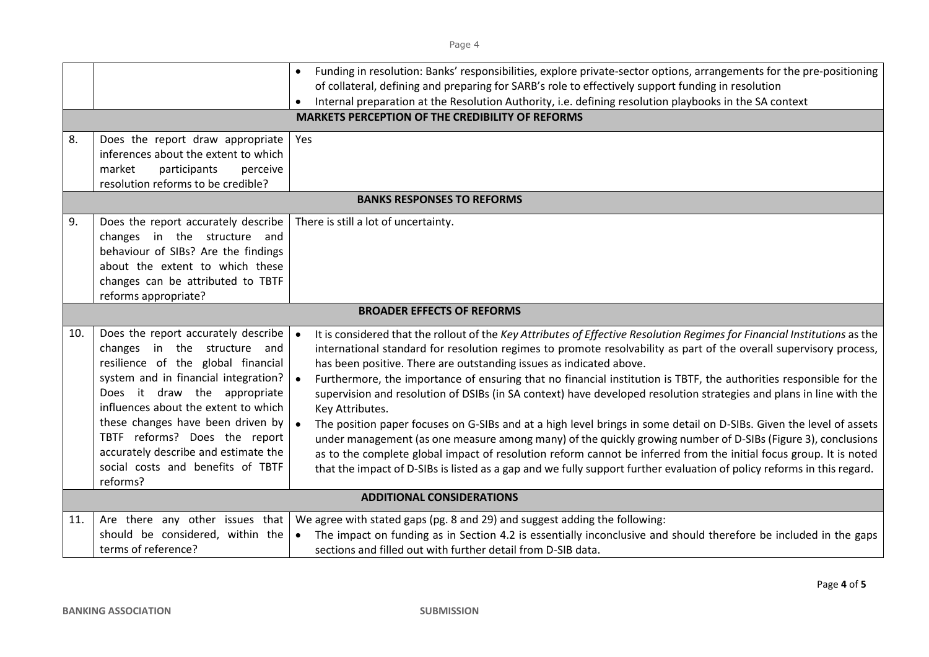| 8.  | Does the report draw appropriate<br>inferences about the extent to which<br>market<br>participants<br>perceive                                                                                                                                                                                                                                                                                                 | Funding in resolution: Banks' responsibilities, explore private-sector options, arrangements for the pre-positioning<br>$\bullet$<br>of collateral, defining and preparing for SARB's role to effectively support funding in resolution<br>Internal preparation at the Resolution Authority, i.e. defining resolution playbooks in the SA context<br><b>MARKETS PERCEPTION OF THE CREDIBILITY OF REFORMS</b><br>Yes                                                                                                                                                                                                                                                                                                                                                                                                                                                                                                                                                                                                                                                           |  |  |
|-----|----------------------------------------------------------------------------------------------------------------------------------------------------------------------------------------------------------------------------------------------------------------------------------------------------------------------------------------------------------------------------------------------------------------|-------------------------------------------------------------------------------------------------------------------------------------------------------------------------------------------------------------------------------------------------------------------------------------------------------------------------------------------------------------------------------------------------------------------------------------------------------------------------------------------------------------------------------------------------------------------------------------------------------------------------------------------------------------------------------------------------------------------------------------------------------------------------------------------------------------------------------------------------------------------------------------------------------------------------------------------------------------------------------------------------------------------------------------------------------------------------------|--|--|
|     | resolution reforms to be credible?                                                                                                                                                                                                                                                                                                                                                                             |                                                                                                                                                                                                                                                                                                                                                                                                                                                                                                                                                                                                                                                                                                                                                                                                                                                                                                                                                                                                                                                                               |  |  |
|     | <b>BANKS RESPONSES TO REFORMS</b>                                                                                                                                                                                                                                                                                                                                                                              |                                                                                                                                                                                                                                                                                                                                                                                                                                                                                                                                                                                                                                                                                                                                                                                                                                                                                                                                                                                                                                                                               |  |  |
| 9.  | Does the report accurately describe<br>changes in the structure and<br>behaviour of SIBs? Are the findings<br>about the extent to which these<br>changes can be attributed to TBTF<br>reforms appropriate?                                                                                                                                                                                                     | There is still a lot of uncertainty.                                                                                                                                                                                                                                                                                                                                                                                                                                                                                                                                                                                                                                                                                                                                                                                                                                                                                                                                                                                                                                          |  |  |
|     | <b>BROADER EFFECTS OF REFORMS</b>                                                                                                                                                                                                                                                                                                                                                                              |                                                                                                                                                                                                                                                                                                                                                                                                                                                                                                                                                                                                                                                                                                                                                                                                                                                                                                                                                                                                                                                                               |  |  |
| 10. | Does the report accurately describe $\vert \bullet \vert$<br>changes in the structure and<br>resilience of the global financial<br>system and in financial integration?<br>Does it draw the appropriate<br>influences about the extent to which<br>these changes have been driven by<br>TBTF reforms? Does the report<br>accurately describe and estimate the<br>social costs and benefits of TBTF<br>reforms? | It is considered that the rollout of the Key Attributes of Effective Resolution Regimes for Financial Institutions as the<br>international standard for resolution regimes to promote resolvability as part of the overall supervisory process,<br>has been positive. There are outstanding issues as indicated above.<br>Furthermore, the importance of ensuring that no financial institution is TBTF, the authorities responsible for the<br>supervision and resolution of DSIBs (in SA context) have developed resolution strategies and plans in line with the<br>Key Attributes.<br>The position paper focuses on G-SIBs and at a high level brings in some detail on D-SIBs. Given the level of assets<br>under management (as one measure among many) of the quickly growing number of D-SIBs (Figure 3), conclusions<br>as to the complete global impact of resolution reform cannot be inferred from the initial focus group. It is noted<br>that the impact of D-SIBs is listed as a gap and we fully support further evaluation of policy reforms in this regard. |  |  |
|     | <b>ADDITIONAL CONSIDERATIONS</b>                                                                                                                                                                                                                                                                                                                                                                               |                                                                                                                                                                                                                                                                                                                                                                                                                                                                                                                                                                                                                                                                                                                                                                                                                                                                                                                                                                                                                                                                               |  |  |
| 11. | Are there any other issues that<br>should be considered, within the<br>terms of reference?                                                                                                                                                                                                                                                                                                                     | We agree with stated gaps (pg. 8 and 29) and suggest adding the following:<br>The impact on funding as in Section 4.2 is essentially inconclusive and should therefore be included in the gaps<br>$\bullet$<br>sections and filled out with further detail from D-SIB data.                                                                                                                                                                                                                                                                                                                                                                                                                                                                                                                                                                                                                                                                                                                                                                                                   |  |  |